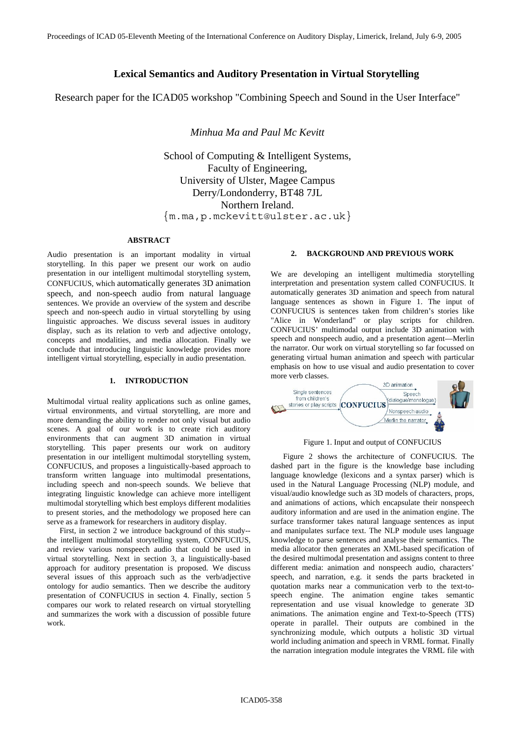# **Lexical Semantics and Auditory Presentation in Virtual Storytelling**

Research paper for the ICAD05 workshop "Combining Speech and Sound in the User Interface"

 *Minhua Ma and Paul Mc Kevitt* 

School of Computing & Intelligent Systems, Faculty of Engineering, University of Ulster, Magee Campus Derry/Londonderry, BT48 7JL Northern Ireland. {m.ma,p.mckevitt@ulster.ac.uk}

#### **ABSTRACT**

Audio presentation is an important modality in virtual storytelling. In this paper we present our work on audio presentation in our intelligent multimodal storytelling system, CONFUCIUS, which automatically generates 3D animation speech, and non-speech audio from natural language sentences. We provide an overview of the system and describe speech and non-speech audio in virtual storytelling by using linguistic approaches. We discuss several issues in auditory display, such as its relation to verb and adjective ontology, concepts and modalities, and media allocation. Finally we conclude that introducing linguistic knowledge provides more intelligent virtual storytelling, especially in audio presentation.

# **1. INTRODUCTION**

Multimodal virtual reality applications such as online games, virtual environments, and virtual storytelling, are more and more demanding the ability to render not only visual but audio scenes. A goal of our work is to create rich auditory environments that can augment 3D animation in virtual storytelling. This paper presents our work on auditory presentation in our intelligent multimodal storytelling system, CONFUCIUS, and proposes a linguistically-based approach to transform written language into multimodal presentations, including speech and non-speech sounds. We believe that integrating linguistic knowledge can achieve more intelligent multimodal storytelling which best employs different modalities to present stories, and the methodology we proposed here can serve as a framework for researchers in auditory display.

First, in section 2 we introduce background of this study- the intelligent multimodal storytelling system, CONFUCIUS, and review various nonspeech audio that could be used in virtual storytelling. Next in section 3, a linguistically-based approach for auditory presentation is proposed. We discuss several issues of this approach such as the verb/adjective ontology for audio semantics. Then we describe the auditory presentation of CONFUCIUS in section 4. Finally, section 5 compares our work to related research on virtual storytelling and summarizes the work with a discussion of possible future work.

# **2. BACKGROUND AND PREVIOUS WORK**

We are developing an intelligent multimedia storytelling interpretation and presentation system called CONFUCIUS. It automatically generates 3D animation and speech from natural language sentences as shown in Figure 1. The input of CONFUCIUS is sentences taken from children's stories like "Alice in Wonderland" or play scripts for children. CONFUCIUS' multimodal output include 3D animation with speech and nonspeech audio, and a presentation agent—Merlin the narrator. Our work on virtual storytelling so far focussed on generating virtual human animation and speech with particular emphasis on how to use visual and audio presentation to cover more verb classes.



Figure 1. Input and output of CONFUCIUS

Figure 2 shows the architecture of CONFUCIUS. The dashed part in the figure is the knowledge base including language knowledge (lexicons and a syntax parser) which is used in the Natural Language Processing (NLP) module, and visual/audio knowledge such as 3D models of characters, props, and animations of actions, which encapsulate their nonspeech auditory information and are used in the animation engine. The surface transformer takes natural language sentences as input and manipulates surface text. The NLP module uses language knowledge to parse sentences and analyse their semantics. The media allocator then generates an XML-based specification of the desired multimodal presentation and assigns content to three different media: animation and nonspeech audio, characters' speech, and narration, e.g. it sends the parts bracketed in quotation marks near a communication verb to the text-tospeech engine. The animation engine takes semantic representation and use visual knowledge to generate 3D animations. The animation engine and Text-to-Speech (TTS) operate in parallel. Their outputs are combined in the synchronizing module, which outputs a holistic 3D virtual world including animation and speech in VRML format. Finally the narration integration module integrates the VRML file with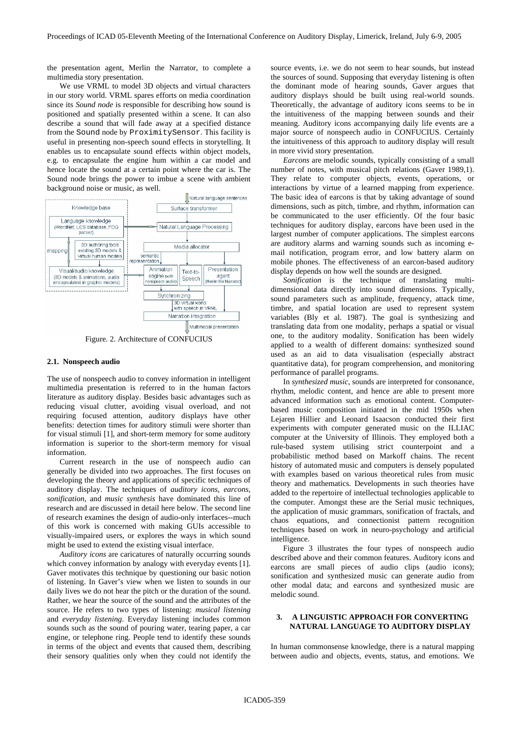the presentation agent, Merlin the Narrator, to complete a multimedia story presentation.

We use VRML to model 3D objects and virtual characters in our story world. VRML spares efforts on media coordination since its *Sound node* is responsible for describing how sound is positioned and spatially presented within a scene. It can also describe a sound that will fade away at a specified distance from the Sound node by ProximitySensor. This facility is useful in presenting non-speech sound effects in storytelling. It enables us to encapsulate sound effects within object models, e.g. to encapsulate the engine hum within a car model and hence locate the sound at a certain point where the car is. The Sound node brings the power to imbue a scene with ambient background noise or music, as well.



Figure. 2. Architecture of CONFUCIUS

### **2.1. Nonspeech audio**

The use of nonspeech audio to convey information in intelligent multimedia presentation is referred to in the human factors literature as auditory display. Besides basic advantages such as reducing visual clutter, avoiding visual overload, and not requiring focused attention, auditory displays have other benefits: detection times for auditory stimuli were shorter than for visual stimuli [1], and short-term memory for some auditory information is superior to the short-term memory for visual information.

Current research in the use of nonspeech audio can generally be divided into two approaches. The first focuses on developing the theory and applications of specific techniques of auditory display. The techniques of *auditory icons*, *earcons*, *sonification*, and *music synthesis* have dominated this line of research and are discussed in detail here below. The second line of research examines the design of audio-only interfaces--much of this work is concerned with making GUIs accessible to visually-impaired users, or explores the ways in which sound might be used to extend the existing visual interface.

*Auditory icons* are caricatures of naturally occurring sounds which convey information by analogy with everyday events [1]. Gaver motivates this technique by questioning our basic notion of listening. In Gaver's view when we listen to sounds in our daily lives we do not hear the pitch or the duration of the sound. Rather, we hear the source of the sound and the attributes of the source. He refers to two types of listening: *musical listening* and *everyday listening*. Everyday listening includes common sounds such as the sound of pouring water, tearing paper, a car engine, or telephone ring. People tend to identify these sounds in terms of the object and events that caused them, describing their sensory qualities only when they could not identify the

source events, i.e. we do not seem to hear sounds, but instead the sources of sound. Supposing that everyday listening is often the dominant mode of hearing sounds, Gaver argues that auditory displays should be built using real-world sounds. Theoretically, the advantage of auditory icons seems to be in the intuitiveness of the mapping between sounds and their meaning. Auditory icons accompanying daily life events are a major source of nonspeech audio in CONFUCIUS. Certainly the intuitiveness of this approach to auditory display will result in more vivid story presentation.

*Earcons* are melodic sounds, typically consisting of a small number of notes, with musical pitch relations (Gaver 1989,1). They relate to computer objects, events, operations, or interactions by virtue of a learned mapping from experience. The basic idea of earcons is that by taking advantage of sound dimensions, such as pitch, timbre, and rhythm, information can be communicated to the user efficiently. Of the four basic techniques for auditory display, earcons have been used in the largest number of computer applications. The simplest earcons are auditory alarms and warning sounds such as incoming email notification, program error, and low battery alarm on mobile phones. The effectiveness of an earcon-based auditory display depends on how well the sounds are designed.

*Sonification* is the technique of translating multidimensional data directly into sound dimensions. Typically, sound parameters such as amplitude, frequency, attack time, timbre, and spatial location are used to represent system variables (Bly et al. 1987). The goal is synthesizing and translating data from one modality, perhaps a spatial or visual one, to the auditory modality. Sonification has been widely applied to a wealth of different domains: synthesized sound used as an aid to data visualisation (especially abstract quantitative data), for program comprehension, and monitoring performance of parallel programs.

In *synthesized music*, sounds are interpreted for consonance, rhythm, melodic content, and hence are able to present more advanced information such as emotional content. Computerbased music composition initiated in the mid 1950s when Lejaren Hillier and Leonard Isaacson conducted their first experiments with computer generated music on the ILLIAC computer at the University of Illinois. They employed both a rule-based system utilising strict counterpoint and a probabilistic method based on Markoff chains. The recent history of automated music and computers is densely populated with examples based on various theoretical rules from music theory and mathematics. Developments in such theories have added to the repertoire of intellectual technologies applicable to the computer. Amongst these are the Serial music techniques, the application of music grammars, sonification of fractals, and chaos equations, and connectionist pattern recognition techniques based on work in neuro-psychology and artificial intelligence.

Figure 3 illustrates the four types of nonspeech audio described above and their common features. Auditory icons and earcons are small pieces of audio clips (audio icons); sonification and synthesized music can generate audio from other modal data; and earcons and synthesized music are melodic sound.

# **3. A LINGUISTIC APPROACH FOR CONVERTING NATURAL LANGUAGE TO AUDITORY DISPLAY**

In human commonsense knowledge, there is a natural mapping between audio and objects, events, status, and emotions. We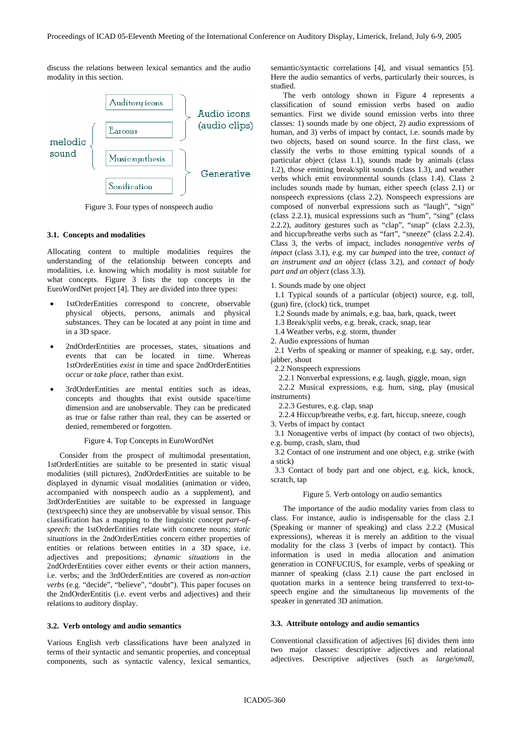discuss the relations between lexical semantics and the audio modality in this section.



Figure 3. Four types of nonspeech audio

# **3.1. Concepts and modalities**

Allocating content to multiple modalities requires the understanding of the relationship between concepts and modalities, i.e. knowing which modality is most suitable for what concepts. Figure 3 lists the top concepts in the EuroWordNet project [4]. They are divided into three types:

- 1stOrderEntities correspond to concrete, observable physical objects, persons, animals and physical substances. They can be located at any point in time and in a 3D space.
- 2ndOrderEntities are processes, states, situations and events that can be located in time. Whereas 1stOrderEntities *exist* in time and space 2ndOrderEntities *occur* or *take place*, rather than exist.
- 3rdOrderEntities are mental entities such as ideas, concepts and thoughts that exist outside space/time dimension and are unobservable. They can be predicated as true or false rather than real, they can be asserted or denied, remembered or forgotten.

# Figure 4. Top Concepts in EuroWordNet

Consider from the prospect of multimodal presentation, 1stOrderEntities are suitable to be presented in static visual modalities (still pictures), 2ndOrderEntities are suitable to be displayed in dynamic visual modalities (animation or video, accompanied with nonspeech audio as a supplement), and 3rdOrderEntities are suitable to be expressed in language (text/speech) since they are unobservable by visual sensor. This classification has a mapping to the linguistic concept *part-ofspeech*: the 1stOrderEntities relate with concrete nouns; *static situations* in the 2ndOrderEntities concern either properties of entities or relations between entities in a 3D space, i.e. adjectives and prepositions; *dynamic situations* in the 2ndOrderEntities cover either events or their action manners, i.e. verbs; and the 3rdOrderEntities are covered as *non-action verbs* (e.g. "decide", "believe", "doubt"). This paper focuses on the 2ndOrderEntitis (i.e. event verbs and adjectives) and their relations to auditory display.

## **3.2. Verb ontology and audio semantics**

Various English verb classifications have been analyzed in terms of their syntactic and semantic properties, and conceptual components, such as syntactic valency, lexical semantics, semantic/syntactic correlations [4], and visual semantics [5]. Here the audio semantics of verbs, particularly their sources, is studied.

The verb ontology shown in Figure 4 represents a classification of sound emission verbs based on audio semantics. First we divide sound emission verbs into three classes: 1) sounds made by one object, 2) audio expressions of human, and 3) verbs of impact by contact, i.e. sounds made by two objects, based on sound source. In the first class, we classify the verbs to those emitting typical sounds of a particular object (class 1.1), sounds made by animals (class 1.2), those emitting break/split sounds (class 1.3), and weather verbs which emit environmental sounds (class 1.4). Class 2 includes sounds made by human, either speech (class 2.1) or nonspeech expressions (class 2.2). Nonspeech expressions are composed of nonverbal expressions such as "laugh", "sign" (class 2.2.1), musical expressions such as "hum", "sing" (class 2.2.2), auditory gestures such as "clap", "snap" (class 2.2.3), and hiccup/breathe verbs such as "fart", "sneeze" (class 2.2.4). Class 3, the verbs of impact, includes *nonagentive verbs of impact* (class 3.1), e.g. my car *bumped* into the tree, *contact of an instrument and an object* (class 3.2), and *contact of body part and an object* (class 3.3).

1. Sounds made by one object

 1.1 Typical sounds of a particular (object) source, e.g. toll, (gun) fire, (clock) tick, trumpet

1.2 Sounds made by animals, e.g. baa, bark, quack, tweet

1.3 Break/split verbs, e.g. break, crack, snap, tear

1.4 Weather verbs, e.g. storm, thunder

2. Audio expressions of human

 2.1 Verbs of speaking or manner of speaking, e.g. say, order, jabber, shout

2.2 Nonspeech expressions

2.2.1 Nonverbal expressions, e.g. laugh, giggle, moan, sign

 2.2.2 Musical expressions, e.g. hum, sing, play (musical instruments)

2.2.3 Gestures, e.g. clap, snap

2.2.4 Hiccup/breathe verbs, e.g. fart, hiccup, sneeze, cough

3. Verbs of impact by contact 3.1 Nonagentive verbs of impact (by contact of two objects),

e.g. bump, crash, slam, thud

 3.2 Contact of one instrument and one object, e.g. strike (with a stick)

 3.3 Contact of body part and one object, e.g. kick, knock, scratch, tap

# Figure 5. Verb ontology on audio semantics

The importance of the audio modality varies from class to class. For instance, audio is indispensable for the class 2.1 (Speaking or manner of speaking) and class 2.2.2 (Musical expressions), whereas it is merely an addition to the visual modality for the class 3 (verbs of impact by contact). This information is used in media allocation and animation generation in CONFUCIUS, for example, verbs of speaking or manner of speaking (class 2.1) cause the part enclosed in quotation marks in a sentence being transferred to text-tospeech engine and the simultaneous lip movements of the speaker in generated 3D animation.

#### **3.3. Attribute ontology and audio semantics**

Conventional classification of adjectives [6] divides them into two major classes: descriptive adjectives and relational adjectives. Descriptive adjectives (such as *large/small*,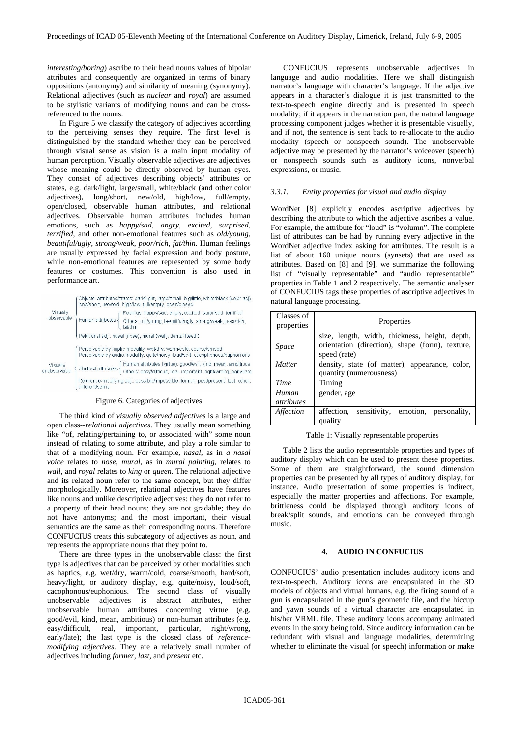*interesting/boring*) ascribe to their head nouns values of bipolar attributes and consequently are organized in terms of binary oppositions (antonymy) and similarity of meaning (synonymy). Relational adjectives (such as *nuclear* and *royal*) are assumed to be stylistic variants of modifying nouns and can be crossreferenced to the nouns.

In Figure 5 we classify the category of adjectives according to the perceiving senses they require. The first level is distinguished by the standard whether they can be perceived through visual sense as vision is a main input modality of human perception. Visually observable adjectives are adjectives whose meaning could be directly observed by human eyes. They consist of adjectives describing objects' attributes or states, e.g. dark/light, large/small, white/black (and other color adjectives), long/short, new/old, high/low, full/empty, open/closed, observable human attributes, and relational adjectives. Observable human attributes includes human emotions, such as *happy/sad*, *angry*, *excited*, *surprised*, *terrified*, and other non-emotional features such as *old/young*, *beautiful/ugly*, *strong/weak*, *poor/rich, fat/thin*. Human feelings are usually expressed by facial expression and body posture, while non-emotional features are represented by some body features or costumes. This convention is also used in performance art.

| Visually<br>observable  | Objects' attributes/states: dark/light, large/small, big/little, white/black (color adj),<br>long/short, new/old, high/low, full/empty, open/closed       |  |  |  |  |  |
|-------------------------|-----------------------------------------------------------------------------------------------------------------------------------------------------------|--|--|--|--|--|
|                         | Feelings: happy/sad, angry, excited, surprised, terrified<br>Human attributes -<br>Others: old/young, beautiful/ugly, strong/weak, poor/rich,<br>fat/thin |  |  |  |  |  |
|                         | Relational adj.: nasal (nose), mural (wall), dental (teeth)                                                                                               |  |  |  |  |  |
| Visually<br>nobservable | Perceivable by haptic modality: wet/dry, warm/cold, coarse/smooth<br>Perceivable by audio modality: quite/noisy, loud/soft, cacophonous/euphonious        |  |  |  |  |  |
|                         | Human attributes (virtue): good/evil, kind, mean, ambitious<br>Abstract attributes<br>Others: easy/difficult, real, important, right/wrong, early/late    |  |  |  |  |  |
|                         | Reference-modifying adj.: possible/impossible, former, past/present, last, other,<br>different/same                                                       |  |  |  |  |  |

### Figure 6. Categories of adjectives

The third kind of *visually observed adjectives* is a large and open class--*relational adjectives*. They usually mean something like "of, relating/pertaining to, or associated with" some noun instead of relating to some attribute, and play a role similar to that of a modifying noun. For example, *nasal*, as in *a nasal voice* relates to *nose*, *mural*, as in *mural painting*, relates to *wall*, and *royal* relates to *king* or *queen*. The relational adjective and its related noun refer to the same concept, but they differ morphologically. Moreover, relational adjectives have features like nouns and unlike descriptive adjectives: they do not refer to a property of their head nouns; they are not gradable; they do not have antonyms; and the most important, their visual semantics are the same as their corresponding nouns. Therefore CONFUCIUS treats this subcategory of adjectives as noun, and represents the appropriate nouns that they point to.

There are three types in the unobservable class: the first type is adjectives that can be perceived by other modalities such as haptics, e.g. wet/dry, warm/cold, coarse/smooth, hard/soft, heavy/light, or auditory display, e.g. quite/noisy, loud/soft, cacophonous/euphonious. The second class of visually unobservable adjectives is abstract attributes, either unobservable human attributes concerning virtue (e.g. good/evil, kind, mean, ambitious) or non-human attributes (e.g. easy/difficult, real, important, particular, right/wrong, early/late); the last type is the closed class of *referencemodifying adjectives.* They are a relatively small number of adjectives including *former, last*, and *present* etc.

CONFUCIUS represents unobservable adjectives in language and audio modalities. Here we shall distinguish narrator's language with character's language. If the adjective appears in a character's dialogue it is just transmitted to the text-to-speech engine directly and is presented in speech modality; if it appears in the narration part, the natural language processing component judges whether it is presentable visually, and if not, the sentence is sent back to re-allocate to the audio modality (speech or nonspeech sound). The unobservable adjective may be presented by the narrator's voiceover (speech) or nonspeech sounds such as auditory icons, nonverbal expressions, or music.

#### *3.3.1. Entity properties for visual and audio display*

WordNet [8] explicitly encodes ascriptive adjectives by describing the attribute to which the adjective ascribes a value. For example, the attribute for "loud" is "volumn". The complete list of attributes can be had by running every adjective in the WordNet adjective index asking for attributes. The result is a list of about 160 unique nouns (synsets) that are used as attributes. Based on [8] and [9], we summarize the following list of "visually representable" and "audio representatble" properties in Table 1 and 2 respectively. The semantic analyser of CONFUCIUS tags these properties of ascriptive adjectives in natural language processing.

| Classes of<br>properties   | Properties                                                                                                        |  |  |  |  |  |  |
|----------------------------|-------------------------------------------------------------------------------------------------------------------|--|--|--|--|--|--|
| Space                      | size, length, width, thickness, height, depth,<br>orientation (direction), shape (form), texture,<br>speed (rate) |  |  |  |  |  |  |
| <i>Matter</i>              | density, state (of matter), appearance, color,<br>quantity (numerousness)                                         |  |  |  |  |  |  |
| Time                       | Timing                                                                                                            |  |  |  |  |  |  |
| Human<br><i>attributes</i> | gender, age                                                                                                       |  |  |  |  |  |  |
| Affection                  | affection,<br>sensitivity, emotion, personality,<br>quality                                                       |  |  |  |  |  |  |

#### Table 1: Visually representable properties

Table 2 lists the audio representable properties and types of auditory display which can be used to present these properties. Some of them are straightforward, the sound dimension properties can be presented by all types of auditory display, for instance. Audio presentation of some properties is indirect, especially the matter properties and affections. For example, brittleness could be displayed through auditory icons of break/split sounds, and emotions can be conveyed through music.

# **4. AUDIO IN CONFUCIUS**

CONFUCIUS' audio presentation includes auditory icons and text-to-speech. Auditory icons are encapsulated in the 3D models of objects and virtual humans, e.g. the firing sound of a gun is encapsulated in the gun's geometric file, and the hiccup and yawn sounds of a virtual character are encapsulated in his/her VRML file. These auditory icons accompany animated events in the story being told. Since auditory information can be redundant with visual and language modalities, determining whether to eliminate the visual (or speech) information or make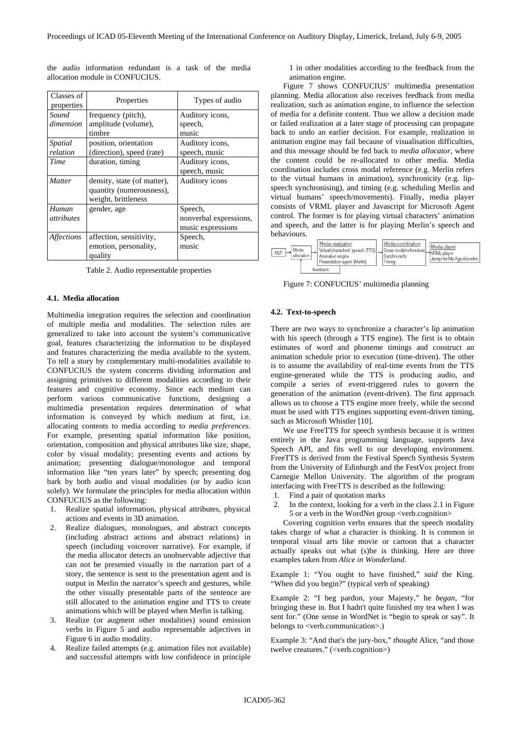| Classes of<br>properties   | Properties                                                                     | Types of audio                                         |
|----------------------------|--------------------------------------------------------------------------------|--------------------------------------------------------|
| Sound<br>dimension         | frequency (pitch),<br>amplitude (volume),<br>timbre                            | Auditory icons,<br>speech,<br>music                    |
| Spatial<br>relation        | position, orientation<br>(direction), speed (rate)                             | Auditory icons,<br>speech, music                       |
| Time                       | duration, timing                                                               | Auditory icons,<br>speech, music                       |
| <i>Matter</i>              | density, state (of matter),<br>quantity (numerousness),<br>weight, brittleness | Auditory icons                                         |
| Human<br><i>attributes</i> | gender, age                                                                    | Speech,<br>nonverbal expressions,<br>music expressions |
| <i><b>Affections</b></i>   | affection, sensitivity,<br>emotion, personality,<br>quality                    | Speech,<br>music                                       |

the audio information redundant is a task of the media allocation module in CONFUCIUS.

Table 2. Audio representable properties

### **4.1. Media allocation**

Multimedia integration requires the selection and coordination of multiple media and modalities. The selection rules are generalized to take into account the system's communicative goal, features characterizing the information to be displayed and features characterizing the media available to the system. To tell a story by complementary multi-modalities available to CONFUCIUS the system concerns dividing information and assigning primitives to different modalities according to their features and cognitive economy. Since each medium can perform various communicative functions, designing a multimedia presentation requires determination of what information is conveyed by which medium at first, i.e. allocating contents to media according to *media preferences*. For example, presenting spatial information like position, orientation, composition and physical attributes like size, shape, color by visual modality; presenting events and actions by animation; presenting dialogue/monologue and temporal information like "ten years later" by speech; presenting dog bark by both audio and visual modalities (or by audio icon solely). We formulate the principles for media allocation within CONFUCIUS as the following:

- 1. Realize spatial information, physical attributes, physical actions and events in 3D animation.
- 2. Realize dialogues, monologues, and abstract concepts (including abstract actions and abstract relations) in speech (including voiceover narrative). For example, if the media allocator detects an unobservable adjective that can not be presented visually in the narration part of a story, the sentence is sent to the presentation agent and is output in Merlin the narrator's speech and gestures, while the other visually presentable parts of the sentence are still allocated to the animation engine and TTS to create animations which will be played when Merlin is talking.
- 3. Realize (or augment other modalities) sound emission verbs in Figure 5 and audio representable adjectives in Figure 6 in audio modality.
- 4. Realize failed attempts (e.g. animation files not available) and successful attempts with low confidence in principle

1 in other modalities according to the feedback from the animation engine.

Figure 7 shows CONFUCIUS' multimedia presentation planning. Media allocation also receives feedback from media realization, such as animation engine, to influence the selection of media for a definite content. Thus we allow a decision made or failed realization at a later stage of processing can propagate back to undo an earlier decision. For example, realization in animation engine may fail because of visualisation difficulties, and this message should be fed back to *media allocator*, where the content could be re-allocated to other media. Media coordination includes cross modal reference (e.g. Merlin refers to the virtual humans in animation), synchronicity (e.g. lipspeech synchronising), and timing (e.g. scheduling Merlin and virtual humans' speech/movements). Finally, media player consists of VRML player and Javascript for Microsoft Agent control. The former is for playing virtual characters' animation and speech, and the latter is for playing Merlin's speech and behaviours.

| Media<br><b>NLP</b><br>allocation | Media realization<br>Animation engine | Virtual characters' speech (TTS)<br>Presentation agent (Merlin) | Media coordination<br>Cross modal references<br>Synchronicity<br>Timina | Media player<br>Jscript for Ms Agent control |
|-----------------------------------|---------------------------------------|-----------------------------------------------------------------|-------------------------------------------------------------------------|----------------------------------------------|
|                                   | feedback                              |                                                                 |                                                                         |                                              |

Figure 7: CONFUCIUS' multimedia planning

# **4.2. Text-to-speech**

There are two ways to synchronize a character's lip animation with his speech (through a TTS engine). The first is to obtain estimates of word and phoneme timings and construct an animation schedule prior to execution (time-driven). The other is to assume the availability of real-time events from the TTS engine-generated while the TTS is producing audio, and compile a series of event-triggered rules to govern the generation of the animation (event-driven). The first approach allows us to choose a TTS engine more freely, while the second must be used with TTS engines supporting event-driven timing, such as Microsoft Whistler [10].

We use FreeTTS for speech synthesis because it is written entirely in the Java programming language, supports Java Speech API, and fits well to our developing environment. FreeTTS is derived from the [Festival](http://www.cstr.ed.ac.uk/projects/festival/) Speech Synthesis System from the University of Edinburgh and the [FestVox](http://festvox.org/) project from Carnegie Mellon University. The algorithm of the program interfacing with FreeTTS is described as the following:

- 1. Find a pair of quotation marks
- 2. In the context, looking for a verb in the class 2.1 in Figure 5 or a verb in the WordNet group <verb.cognition>

Covering cognition verbs ensures that the speech modality takes charge of what a character is thinking. It is common in temporal visual arts like movie or cartoon that a character actually speaks out what (s)he is thinking. Here are three examples taken from *Alice in Wonderland*.

Example 1: "You ought to have finished," *said* the King. "When did you begin?" (typical verb of speaking)

Example 2: "I beg pardon, your Majesty," he *began*, "for bringing these in. But I hadn't quite finished my tea when I was sent for." (One sense in WordNet is "begin to speak or say". It belongs to <verb.communication>.)

Example 3: "And that's the jury-box," *thought* Alice, "and those twelve creatures." (<verb.cognition>)